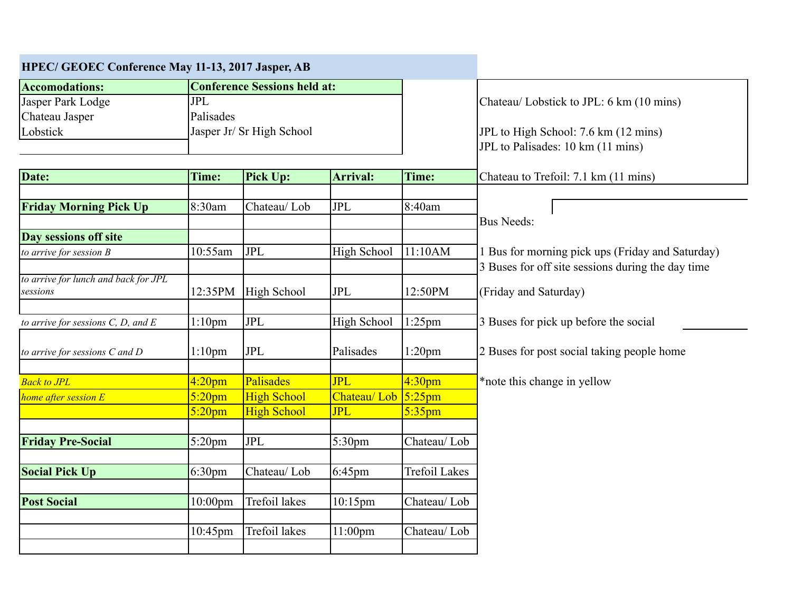| HPEC/ GEOEC Conference May 11-13, 2017 Jasper, AB |                                     |                      |                        |                      |                                                   |  |
|---------------------------------------------------|-------------------------------------|----------------------|------------------------|----------------------|---------------------------------------------------|--|
| <b>Accomodations:</b>                             | <b>Conference Sessions held at:</b> |                      |                        |                      |                                                   |  |
| Jasper Park Lodge                                 | <b>JPL</b>                          |                      |                        |                      | Chateau/ Lobstick to JPL: 6 km (10 mins)          |  |
| Chateau Jasper                                    | Palisades                           |                      |                        |                      |                                                   |  |
| Lobstick                                          | Jasper Jr/ Sr High School           |                      |                        |                      | JPL to High School: 7.6 km (12 mins)              |  |
|                                                   |                                     |                      |                        |                      | JPL to Palisades: 10 km (11 mins)                 |  |
| Date:                                             | Time:                               | <b>Pick Up:</b>      | <b>Arrival:</b>        | Time:                | Chateau to Trefoil: 7.1 km (11 mins)              |  |
|                                                   |                                     |                      |                        |                      |                                                   |  |
| <b>Friday Morning Pick Up</b>                     | 8:30am                              | Chateau/Lob          | <b>JPL</b>             | 8:40am               |                                                   |  |
|                                                   |                                     |                      |                        |                      | <b>Bus Needs:</b>                                 |  |
| Day sessions off site                             |                                     |                      |                        |                      |                                                   |  |
| to arrive for session $B$                         | 10:55am                             | JPL                  | High School            | 11:10AM              | 1 Bus for morning pick ups (Friday and Saturday)  |  |
|                                                   |                                     |                      |                        |                      | 3 Buses for off site sessions during the day time |  |
| to arrive for lunch and back for JPL              |                                     |                      |                        |                      |                                                   |  |
| sessions                                          | 12:35PM                             | High School          | <b>JPL</b>             | 12:50PM              | (Friday and Saturday)                             |  |
| to arrive for sessions $C$ , $D$ , and $E$        | $1:10$ pm                           | <b>JPL</b>           | High School            | $1:25$ pm            | 3 Buses for pick up before the social             |  |
| to arrive for sessions $C$ and $D$                | $1:10$ pm                           | JPL                  | Palisades              | $1:20$ pm            | 2 Buses for post social taking people home        |  |
|                                                   |                                     |                      |                        |                      |                                                   |  |
| <b>Back to JPL</b>                                | 4:20 <sub>pm</sub>                  | Palisades            | <b>JPL</b>             | 4:30 <sub>pm</sub>   | *note this change in yellow                       |  |
| home after session E                              | $5:20$ pm                           | <b>High School</b>   | Chateau/ Lob $5:25$ pm |                      |                                                   |  |
|                                                   | $5:20$ pm                           | <b>High School</b>   | <b>JPL</b>             | $5:35$ pm            |                                                   |  |
| <b>Friday Pre-Social</b>                          | $5:20$ pm                           | <b>JPL</b>           | 5:30 <sub>pm</sub>     | Chateau/Lob          |                                                   |  |
|                                                   |                                     |                      |                        |                      |                                                   |  |
| <b>Social Pick Up</b>                             | 6:30 <sub>pm</sub>                  | Chateau/Lob          | 6:45pm                 | <b>Trefoil Lakes</b> |                                                   |  |
| <b>Post Social</b>                                | $10:00$ pm                          | <b>Trefoil lakes</b> | 10:15pm                | Chateau/Lob          |                                                   |  |
|                                                   |                                     |                      |                        |                      |                                                   |  |
|                                                   | 10:45pm                             | Trefoil lakes        | 11:00pm                | Chateau/Lob          |                                                   |  |
|                                                   |                                     |                      |                        |                      |                                                   |  |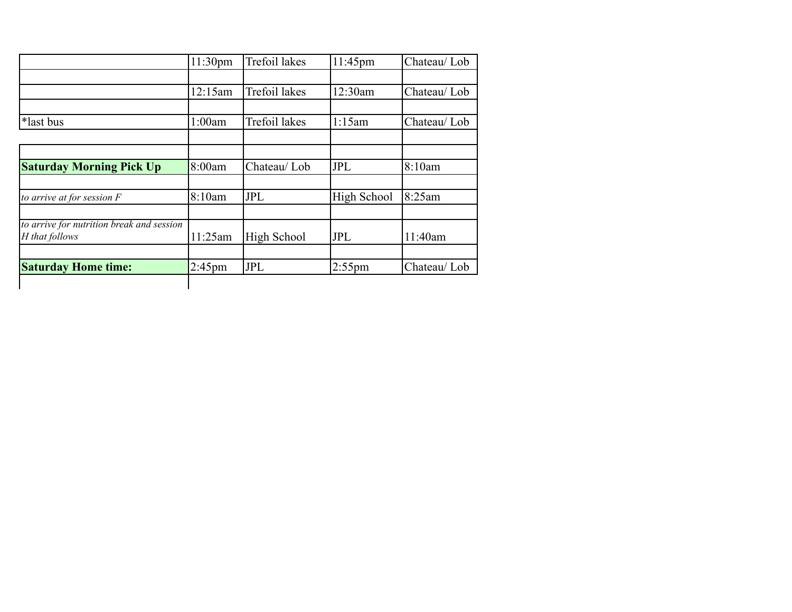|                                                             | 11:30 <sub>pm</sub> | <b>Trefoil lakes</b> | $11:45$ pm  | Chateau/Lob |
|-------------------------------------------------------------|---------------------|----------------------|-------------|-------------|
|                                                             |                     |                      |             |             |
|                                                             | 12:15am             | <b>Trefoil lakes</b> | 12:30am     | Chateau/Lob |
|                                                             |                     |                      |             |             |
| *last bus                                                   | 1:00am              | Trefoil lakes        | 1:15am      | Chateau/Lob |
|                                                             |                     |                      |             |             |
|                                                             |                     |                      |             |             |
| <b>Saturday Morning Pick Up</b>                             | 8:00am              | Chateau/Lob          | <b>JPL</b>  | 8:10am      |
|                                                             |                     |                      |             |             |
| to arrive at for session $F$                                | 8:10am              | JPL                  | High School | 8:25am      |
|                                                             |                     |                      |             |             |
| to arrive for nutrition break and session<br>H that follows | 11:25am             | High School          | <b>JPL</b>  | 11:40am     |
|                                                             |                     |                      |             |             |
| <b>Saturday Home time:</b>                                  | $2:45$ pm           | <b>JPL</b>           | $2:55$ pm   | Chateau/Lob |
|                                                             |                     |                      |             |             |